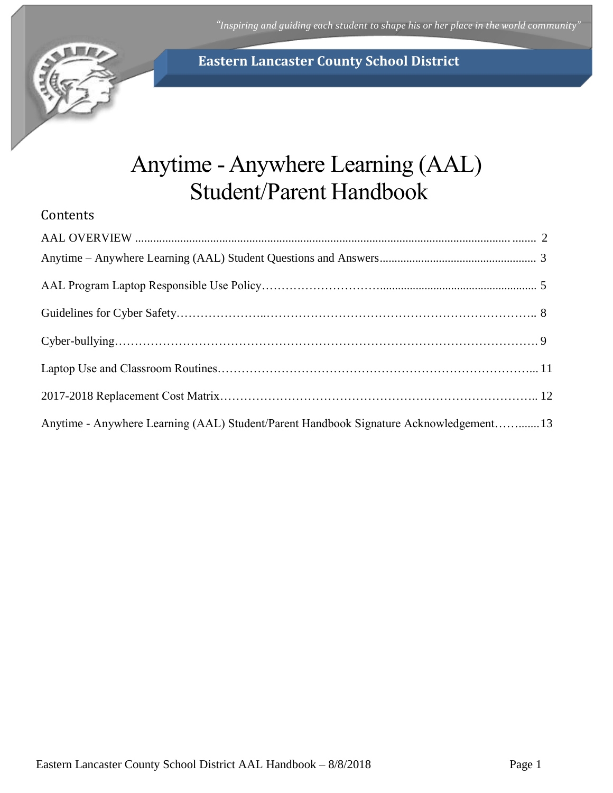*"Inspiring and guiding each student to shape his or her place in the world community"*



# **Eastern Lancaster County School District**

# Anytime - Anywhere Learning (AAL) Student/Parent Handbook

# **Contents**

| Anytime - Anywhere Learning (AAL) Student/Parent Handbook Signature Acknowledgement13 |  |
|---------------------------------------------------------------------------------------|--|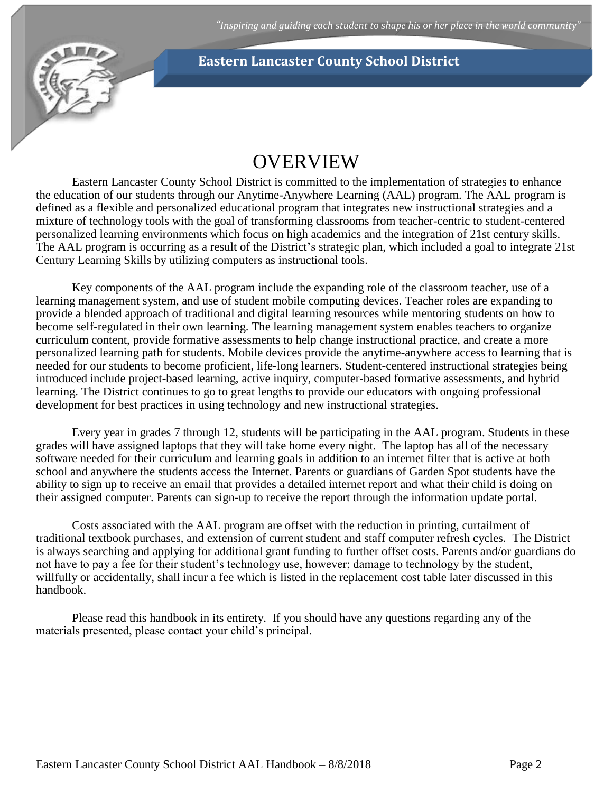

# **OVERVIEW**

<span id="page-1-0"></span>Eastern Lancaster County School District is committed to the implementation of strategies to enhance the education of our students through our Anytime-Anywhere Learning (AAL) program. The AAL program is defined as a flexible and personalized educational program that integrates new instructional strategies and a mixture of technology tools with the goal of transforming classrooms from teacher-centric to student-centered personalized learning environments which focus on high academics and the integration of 21st century skills. The AAL program is occurring as a result of the District's strategic plan, which included a goal to integrate 21st Century Learning Skills by utilizing computers as instructional tools.

Key components of the AAL program include the expanding role of the classroom teacher, use of a learning management system, and use of student mobile computing devices. Teacher roles are expanding to provide a blended approach of traditional and digital learning resources while mentoring students on how to become self-regulated in their own learning. The learning management system enables teachers to organize curriculum content, provide formative assessments to help change instructional practice, and create a more personalized learning path for students. Mobile devices provide the anytime-anywhere access to learning that is needed for our students to become proficient, life-long learners. Student-centered instructional strategies being introduced include project-based learning, active inquiry, computer-based formative assessments, and hybrid learning. The District continues to go to great lengths to provide our educators with ongoing professional development for best practices in using technology and new instructional strategies.

Every year in grades 7 through 12, students will be participating in the AAL program. Students in these grades will have assigned laptops that they will take home every night. The laptop has all of the necessary software needed for their curriculum and learning goals in addition to an internet filter that is active at both school and anywhere the students access the Internet. Parents or guardians of Garden Spot students have the ability to sign up to receive an email that provides a detailed internet report and what their child is doing on their assigned computer. Parents can sign-up to receive the report through the information update portal.

Costs associated with the AAL program are offset with the reduction in printing, curtailment of traditional textbook purchases, and extension of current student and staff computer refresh cycles. The District is always searching and applying for additional grant funding to further offset costs. Parents and/or guardians do not have to pay a fee for their student's technology use, however; damage to technology by the student, willfully or accidentally, shall incur a fee which is listed in the replacement cost table later discussed in this handbook.

Please read this handbook in its entirety. If you should have any questions regarding any of the materials presented, please contact your child's principal.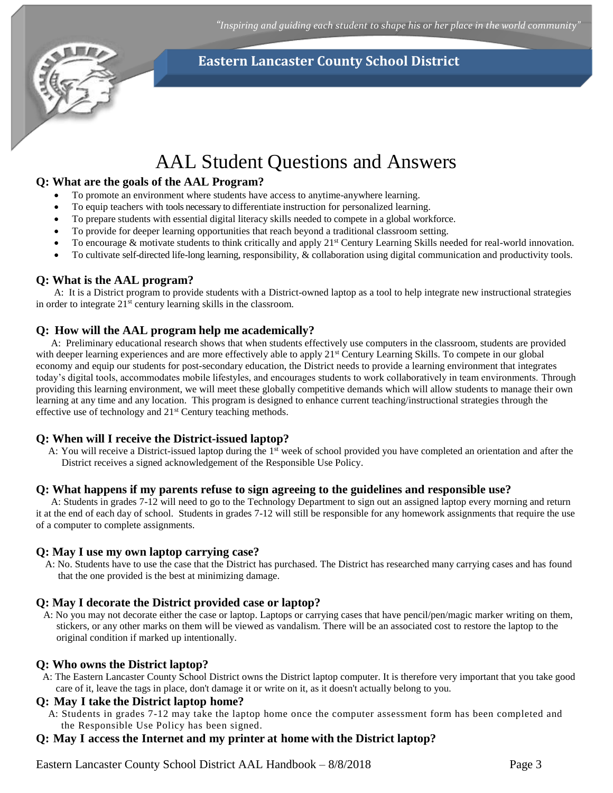

# AAL Student Questions and Answers

## <span id="page-2-0"></span>**Q: What are the goals of the AAL Program?**

- To promote an environment where students have access to anytime-anywhere learning.
- To equip teachers with tools necessary to differentiate instruction for personalized learning.
- To prepare students with essential digital literacy skills needed to compete in a global workforce.
- To provide for deeper learning opportunities that reach beyond a traditional classroom setting.
- To encourage  $\&$  motivate students to think critically and apply  $21<sup>st</sup>$  Century Learning Skills needed for real-world innovation.
- To cultivate self-directed life-long learning, responsibility, & collaboration using digital communication and productivity tools.

## **Q: What is the AAL program?**

A: It is a District program to provide students with a District-owned laptop as a tool to help integrate new instructional strategies in order to integrate 21st century learning skills in the classroom.

## **Q: How will the AAL program help me academically?**

 A: Preliminary educational research shows that when students effectively use computers in the classroom, students are provided with deeper learning experiences and are more effectively able to apply 21<sup>st</sup> Century Learning Skills. To compete in our global economy and equip our students for post-secondary education, the District needs to provide a learning environment that integrates today's digital tools, accommodates mobile lifestyles, and encourages students to work collaboratively in team environments. Through providing this learning environment, we will meet these globally competitive demands which will allow students to manage their own learning at any time and any location. This program is designed to enhance current teaching/instructional strategies through the effective use of technology and 21<sup>st</sup> Century teaching methods.

## **Q: When will I receive the District-issued laptop?**

A: You will receive a District-issued laptop during the 1<sup>st</sup> week of school provided you have completed an orientation and after the District receives a signed acknowledgement of the Responsible Use Policy.

### **Q: What happens if my parents refuse to sign agreeing to the guidelines and responsible use?**

A: Students in grades 7-12 will need to go to the Technology Department to sign out an assigned laptop every morning and return it at the end of each day of school. Students in grades 7-12 will still be responsible for any homework assignments that require the use of a computer to complete assignments.

### **Q: May I use my own laptop carrying case?**

A: No. Students have to use the case that the District has purchased. The District has researched many carrying cases and has found that the one provided is the best at minimizing damage.

## **Q: May I decorate the District provided case or laptop?**

A: No you may not decorate either the case or laptop. Laptops or carrying cases that have pencil/pen/magic marker writing on them, stickers, or any other marks on them will be viewed as vandalism. There will be an associated cost to restore the laptop to the original condition if marked up intentionally.

## **Q: Who owns the District laptop?**

A: The Eastern Lancaster County School District owns the District laptop computer. It is therefore very important that you take good care of it, leave the tags in place, don't damage it or write on it, as it doesn't actually belong to you.

### **Q: May I take the District laptop home?**

A: Students in grades 7-12 may take the laptop home once the computer assessment form has been completed and the Responsible Use Policy has been signed.

## **Q: May I access the Internet and my printer at home with the District laptop?**

Eastern Lancaster County School District AAL Handbook –  $8/8/2018$  Page 3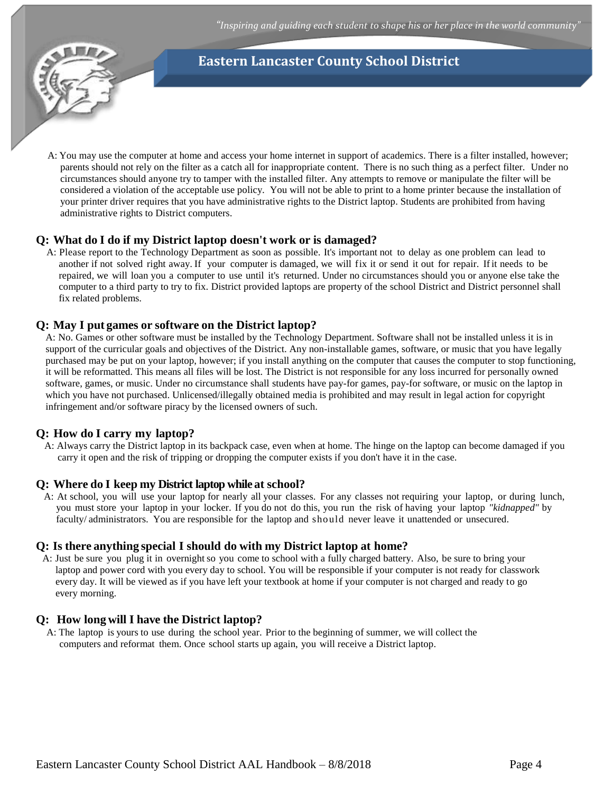

A: You may use the computer at home and access your home internet in support of academics. There is a filter installed, however; parents should not rely on the filter as a catch all for inappropriate content. There is no such thing as a perfect filter. Under no circumstances should anyone try to tamper with the installed filter. Any attempts to remove or manipulate the filter will be considered a violation of the acceptable use policy. You will not be able to print to a home printer because the installation of your printer driver requires that you have administrative rights to the District laptop. Students are prohibited from having administrative rights to District computers.

## **Q: What do I do if my District laptop doesn't work or is damaged?**

A: Please report to the Technology Department as soon as possible. It's important not to delay as one problem can lead to another if not solved right away. If your computer is damaged, we will fix it or send it out for repair. Ifit needs to be repaired, we will loan you a computer to use until it's returned. Under no circumstances should you or anyone else take the computer to a third party to try to fix. District provided laptops are property of the school District and District personnel shall fix related problems.

## **Q: May I put games or software on the District laptop?**

A: No. Games or other software must be installed by the Technology Department. Software shall not be installed unless it is in support of the curricular goals and objectives of the District. Any non-installable games, software, or music that you have legally purchased may be put on your laptop, however; if you install anything on the computer that causes the computer to stop functioning, it will be reformatted. This means all files will be lost. The District is not responsible for any loss incurred for personally owned software, games, or music. Under no circumstance shall students have pay-for games, pay-for software, or music on the laptop in which you have not purchased. Unlicensed/illegally obtained media is prohibited and may result in legal action for copyright infringement and/or software piracy by the licensed owners of such.

## **Q: How do I carry my laptop?**

A: Always carry the District laptop in its backpack case, even when at home. The hinge on the laptop can become damaged if you carry it open and the risk of tripping or dropping the computer exists if you don't have it in the case.

### **Q: Where do I keep my District laptop while at school?**

A: At school, you will use your laptop for nearly all your classes. For any classes not requiring your laptop, or during lunch, you must store your laptop in your locker. If you do not do this, you run the risk of having your laptop *"kidnapped"* by faculty/ administrators. You are responsible for the laptop and should never leave it unattended or unsecured.

### **Q: Is there anything special I should do with my District laptop at home?**

A: Just be sure you plug it in overnight so you come to school with a fully charged battery. Also, be sure to bring your laptop and power cord with you every day to school. You will be responsible if your computer is not ready for classwork every day. It will be viewed as if you have left your textbook at home if your computer is not charged and ready to go every morning.

### **Q: How long will I have the District laptop?**

A: The laptop is yours to use during the school year. Prior to the beginning of summer, we will collect the computers and reformat them. Once school starts up again, you will receive a District laptop.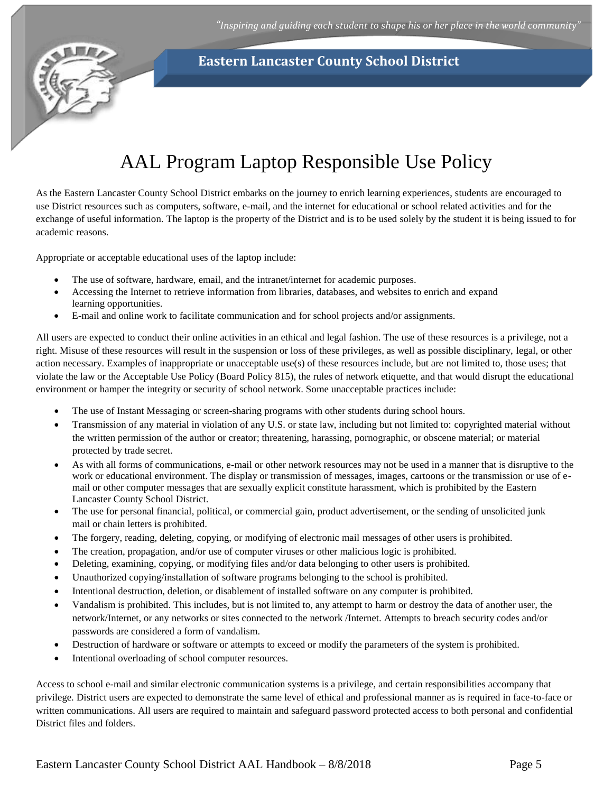

# AAL Program Laptop Responsible Use Policy

<span id="page-4-0"></span>As the Eastern Lancaster County School District embarks on the journey to enrich learning experiences, students are encouraged to use District resources such as computers, software, e-mail, and the internet for educational or school related activities and for the exchange of useful information. The laptop is the property of the District and is to be used solely by the student it is being issued to for academic reasons.

Appropriate or acceptable educational uses of the laptop include:

- The use of software, hardware, email, and the intranet/internet for academic purposes.
- Accessing the Internet to retrieve information from libraries, databases, and websites to enrich and expand learning opportunities.
- E-mail and online work to facilitate communication and for school projects and/or assignments.

All users are expected to conduct their online activities in an ethical and legal fashion. The use of these resources is a privilege, not a right. Misuse of these resources will result in the suspension or loss of these privileges, as well as possible disciplinary, legal, or other action necessary. Examples of inappropriate or unacceptable use(s) of these resources include, but are not limited to, those uses; that violate the law or the Acceptable Use Policy (Board Policy 815), the rules of network etiquette, and that would disrupt the educational environment or hamper the integrity or security of school network. Some unacceptable practices include:

- The use of Instant Messaging or screen-sharing programs with other students during school hours.
- Transmission of any material in violation of any U.S. or state law, including but not limited to: copyrighted material without the written permission of the author or creator; threatening, harassing, pornographic, or obscene material; or material protected by trade secret.
- As with all forms of communications, e-mail or other network resources may not be used in a manner that is disruptive to the work or educational environment. The display or transmission of messages, images, cartoons or the transmission or use of email or other computer messages that are sexually explicit constitute harassment, which is prohibited by the Eastern Lancaster County School District.
- The use for personal financial, political, or commercial gain, product advertisement, or the sending of unsolicited junk mail or chain letters is prohibited.
- The forgery, reading, deleting, copying, or modifying of electronic mail messages of other users is prohibited.
- The creation, propagation, and/or use of computer viruses or other malicious logic is prohibited.
- Deleting, examining, copying, or modifying files and/or data belonging to other users is prohibited.
- Unauthorized copying/installation of software programs belonging to the school is prohibited.
- Intentional destruction, deletion, or disablement of installed software on any computer is prohibited.
- Vandalism is prohibited. This includes, but is not limited to, any attempt to harm or destroy the data of another user, the network/Internet, or any networks or sites connected to the network /Internet. Attempts to breach security codes and/or passwords are considered a form of vandalism.
- Destruction of hardware or software or attempts to exceed or modify the parameters of the system is prohibited.
- Intentional overloading of school computer resources.

Access to school e-mail and similar electronic communication systems is a privilege, and certain responsibilities accompany that privilege. District users are expected to demonstrate the same level of ethical and professional manner as is required in face-to-face or written communications. All users are required to maintain and safeguard password protected access to both personal and confidential District files and folders.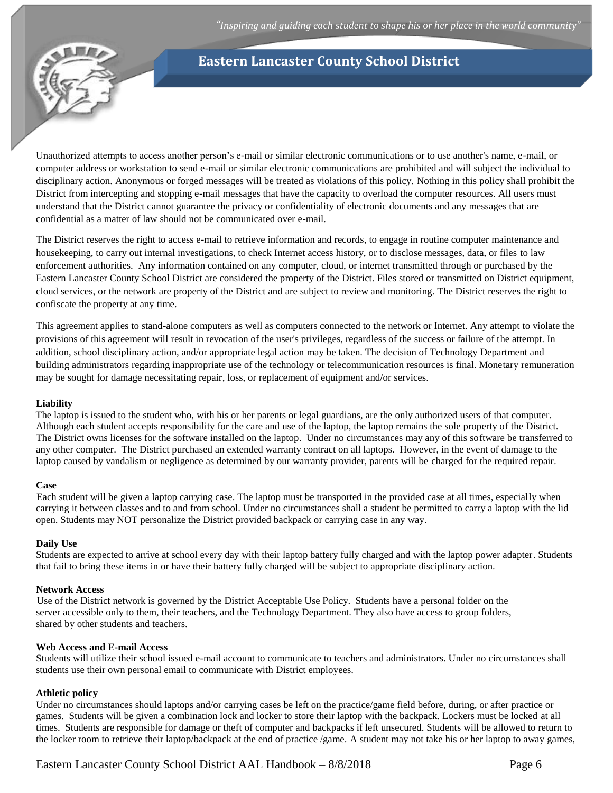

Unauthorized attempts to access another person's e-mail or similar electronic communications or to use another's name, e-mail, or computer address or workstation to send e-mail or similar electronic communications are prohibited and will subject the individual to disciplinary action. Anonymous or forged messages will be treated as violations of this policy. Nothing in this policy shall prohibit the District from intercepting and stopping e-mail messages that have the capacity to overload the computer resources. All users must understand that the District cannot guarantee the privacy or confidentiality of electronic documents and any messages that are confidential as a matter of law should not be communicated over e-mail.

The District reserves the right to access e-mail to retrieve information and records, to engage in routine computer maintenance and housekeeping, to carry out internal investigations, to check Internet access history, or to disclose messages, data, or files to law enforcement authorities. Any information contained on any computer, cloud, or internet transmitted through or purchased by the Eastern Lancaster County School District are considered the property of the District. Files stored or transmitted on District equipment, cloud services, or the network are property of the District and are subject to review and monitoring. The District reserves the right to confiscate the property at any time.

This agreement applies to stand-alone computers as well as computers connected to the network or Internet. Any attempt to violate the provisions of this agreement will result in revocation of the user's privileges, regardless of the success or failure of the attempt. In addition, school disciplinary action, and/or appropriate legal action may be taken. The decision of Technology Department and building administrators regarding inappropriate use of the technology or telecommunication resources is final. Monetary remuneration may be sought for damage necessitating repair, loss, or replacement of equipment and/or services.

#### **Liability**

The laptop is issued to the student who, with his or her parents or legal guardians, are the only authorized users of that computer. Although each student accepts responsibility for the care and use of the laptop, the laptop remains the sole property of the District. The District owns licenses for the software installed on the laptop. Under no circumstances may any of this software be transferred to any other computer. The District purchased an extended warranty contract on all laptops. However, in the event of damage to the laptop caused by vandalism or negligence as determined by our warranty provider, parents will be charged for the required repair.

#### **Case**

Each student will be given a laptop carrying case. The laptop must be transported in the provided case at all times, especially when carrying it between classes and to and from school. Under no circumstances shall a student be permitted to carry a laptop with the lid open. Students may NOT personalize the District provided backpack or carrying case in any way.

#### **Daily Use**

Students are expected to arrive at school every day with their laptop battery fully charged and with the laptop power adapter. Students that fail to bring these items in or have their battery fully charged will be subject to appropriate disciplinary action.

#### **Network Access**

Use of the District network is governed by the District Acceptable Use Policy. Students have a personal folder on the server accessible only to them, their teachers, and the Technology Department. They also have access to group folders, shared by other students and teachers.

#### **Web Access and E-mail Access**

Students will utilize their school issued e-mail account to communicate to teachers and administrators. Under no circumstances shall students use their own personal email to communicate with District employees.

#### **Athletic policy**

Under no circumstances should laptops and/or carrying cases be left on the practice/game field before, during, or after practice or games. Students will be given a combination lock and locker to store their laptop with the backpack. Lockers must be locked at all times. Students are responsible for damage or theft of computer and backpacks if left unsecured. Students will be allowed to return to the locker room to retrieve their laptop/backpack at the end of practice /game. A student may not take his or her laptop to away games,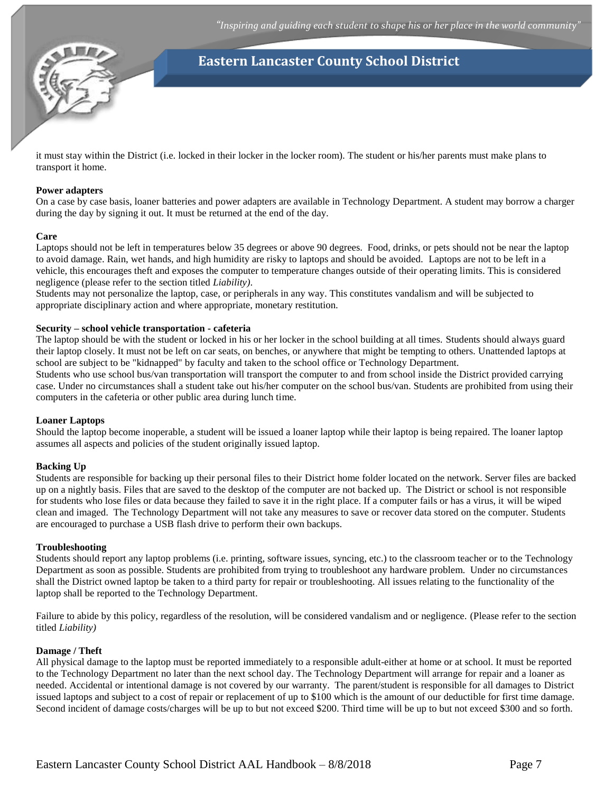

it must stay within the District (i.e. locked in their locker in the locker room). The student or his/her parents must make plans to transport it home.

#### **Power adapters**

On a case by case basis, loaner batteries and power adapters are available in Technology Department. A student may borrow a charger during the day by signing it out. It must be returned at the end of the day.

#### **Care**

Laptops should not be left in temperatures below 35 degrees or above 90 degrees. Food, drinks, or pets should not be near the laptop to avoid damage. Rain, wet hands, and high humidity are risky to laptops and should be avoided. Laptops are not to be left in a vehicle, this encourages theft and exposes the computer to temperature changes outside of their operating limits. This is considered negligence (please refer to the section titled *Liability)*.

Students may not personalize the laptop, case, or peripherals in any way. This constitutes vandalism and will be subjected to appropriate disciplinary action and where appropriate, monetary restitution.

#### **Security – school vehicle transportation - cafeteria**

The laptop should be with the student or locked in his or her locker in the school building at all times. Students should always guard their laptop closely. It must not be left on car seats, on benches, or anywhere that might be tempting to others. Unattended laptops at school are subject to be "kidnapped" by faculty and taken to the school office or Technology Department.

Students who use school bus/van transportation will transport the computer to and from school inside the District provided carrying case. Under no circumstances shall a student take out his/her computer on the school bus/van. Students are prohibited from using their computers in the cafeteria or other public area during lunch time.

#### **Loaner Laptops**

Should the laptop become inoperable, a student will be issued a loaner laptop while their laptop is being repaired. The loaner laptop assumes all aspects and policies of the student originally issued laptop.

#### **Backing Up**

Students are responsible for backing up their personal files to their District home folder located on the network. Server files are backed up on a nightly basis. Files that are saved to the desktop of the computer are not backed up. The District or school is not responsible for students who lose files or data because they failed to save it in the right place. If a computer fails or has a virus, it will be wiped clean and imaged. The Technology Department will not take any measures to save or recover data stored on the computer. Students are encouraged to purchase a USB flash drive to perform their own backups.

#### **Troubleshooting**

Students should report any laptop problems (i.e. printing, software issues, syncing, etc.) to the classroom teacher or to the Technology Department as soon as possible. Students are prohibited from trying to troubleshoot any hardware problem. Under no circumstances shall the District owned laptop be taken to a third party for repair or troubleshooting. All issues relating to the functionality of the laptop shall be reported to the Technology Department.

Failure to abide by this policy, regardless of the resolution, will be considered vandalism and or negligence. (Please refer to the section titled *Liability)*

#### **Damage / Theft**

All physical damage to the laptop must be reported immediately to a responsible adult-either at home or at school. It must be reported to the Technology Department no later than the next school day. The Technology Department will arrange for repair and a loaner as needed. Accidental or intentional damage is not covered by our warranty. The parent/student is responsible for all damages to District issued laptops and subject to a cost of repair or replacement of up to \$100 which is the amount of our deductible for first time damage. Second incident of damage costs/charges will be up to but not exceed \$200. Third time will be up to but not exceed \$300 and so forth.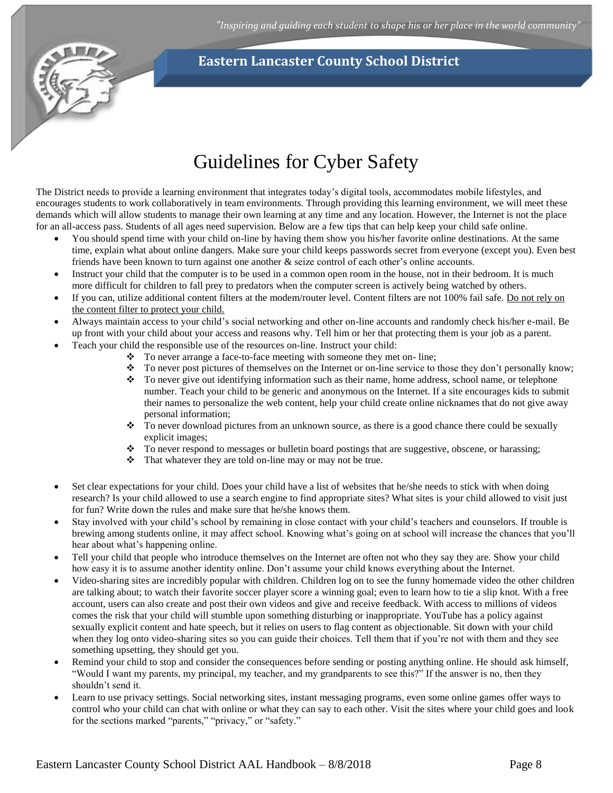

# Guidelines for Cyber Safety

<span id="page-7-0"></span>The District needs to provide a learning environment that integrates today's digital tools, accommodates mobile lifestyles, and encourages students to work collaboratively in team environments. Through providing this learning environment, we will meet these demands which will allow students to manage their own learning at any time and any location. However, the Internet is not the place for an all-access pass. Students of all ages need supervision. Below are a few tips that can help keep your child safe online.

- You should spend time with your child on-line by having them show you his/her favorite online destinations. At the same time, explain what about online dangers. Make sure your child keeps passwords secret from everyone (except you). Even best friends have been known to turn against one another & seize control of each other's online accounts.
- Instruct your child that the computer is to be used in a common open room in the house, not in their bedroom. It is much more difficult for children to fall prey to predators when the computer screen is actively being watched by others.
- If you can, utilize additional content filters at the modem/router level. Content filters are not 100% fail safe. Do not rely on the content filter to protect your child.
- Always maintain access to your child's social networking and other on-line accounts and randomly check his/her e-mail. Be up front with your child about your access and reasons why. Tell him or her that protecting them is your job as a parent.
- Teach your child the responsible use of the resources on-line. Instruct your child:
	- $\bullet$  To never arrange a face-to-face meeting with someone they met on- line;
	- \* To never post pictures of themselves on the Internet or on-line service to those they don't personally know;
	- \* To never give out identifying information such as their name, home address, school name, or telephone number. Teach your child to be generic and anonymous on the Internet. If a site encourages kids to submit their names to personalize the web content, help your child create online nicknames that do not give away personal information;
	- $\bullet$  To never download pictures from an unknown source, as there is a good chance there could be sexually explicit images;
	- $\bullet$  To never respond to messages or bulletin board postings that are suggestive, obscene, or harassing;
	- That whatever they are told on-line may or may not be true.
- Set clear expectations for your child. Does your child have a list of websites that he/she needs to stick with when doing research? Is your child allowed to use a search engine to find appropriate sites? What sites is your child allowed to visit just for fun? Write down the rules and make sure that he/she knows them.
- Stay involved with your child's school by remaining in close contact with your child's teachers and counselors. If trouble is brewing among students online, it may affect school. Knowing what's going on at school will increase the chances that you'll hear about what's happening online.
- Tell your child that people who introduce themselves on the Internet are often not who they say they are. Show your child how easy it is to assume another identity online. Don't assume your child knows everything about the Internet.
- Video-sharing sites are incredibly popular with children. Children log on to see the funny homemade video the other children are talking about; to watch their favorite soccer player score a winning goal; even to learn how to tie a slip knot. With a free account, users can also create and post their own videos and give and receive feedback. With access to millions of videos comes the risk that your child will stumble upon something disturbing or inappropriate. YouTube has a policy against sexually explicit content and hate speech, but it relies on users to flag content as objectionable. Sit down with your child when they log onto video-sharing sites so you can guide their choices. Tell them that if you're not with them and they see something upsetting, they should get you.
- Remind your child to stop and consider the consequences before sending or posting anything online. He should ask himself, "Would I want my parents, my principal, my teacher, and my grandparents to see this?" If the answer is no, then they shouldn't send it.
- Learn to use privacy settings. Social networking sites, instant messaging programs, even some online games offer ways to control who your child can chat with online or what they can say to each other. Visit the sites where your child goes and look for the sections marked "parents," "privacy," or "safety."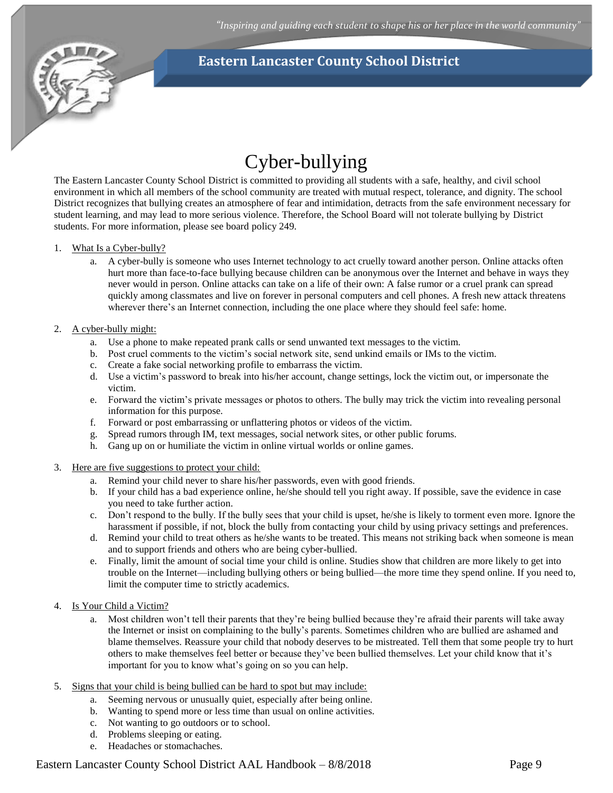

# Cyber-bullying

<span id="page-8-0"></span>The Eastern Lancaster County School District is committed to providing all students with a safe, healthy, and civil school environment in which all members of the school community are treated with mutual respect, tolerance, and dignity. The school District recognizes that bullying creates an atmosphere of fear and intimidation, detracts from the safe environment necessary for student learning, and may lead to more serious violence. Therefore, the School Board will not tolerate bullying by District students. For more information, please see board policy 249.

#### 1. What Is a Cyber-bully?

a. A cyber-bully is someone who uses Internet technology to act cruelly toward another person. Online attacks often hurt more than face-to-face bullying because children can be anonymous over the Internet and behave in ways they never would in person. Online attacks can take on a life of their own: A false rumor or a cruel prank can spread quickly among classmates and live on forever in personal computers and cell phones. A fresh new attack threatens wherever there's an Internet connection, including the one place where they should feel safe: home.

#### 2. A cyber-bully might:

- a. Use a phone to make repeated prank calls or send unwanted text messages to the victim.
- b. Post cruel comments to the victim's social network site, send unkind emails or IMs to the victim.
- c. Create a fake social networking profile to embarrass the victim.
- d. Use a victim's password to break into his/her account, change settings, lock the victim out, or impersonate the victim.
- e. Forward the victim's private messages or photos to others. The bully may trick the victim into revealing personal information for this purpose.
- f. Forward or post embarrassing or unflattering photos or videos of the victim.
- g. Spread rumors through IM, text messages, social network sites, or other public forums.
- h. Gang up on or humiliate the victim in online virtual worlds or online games.
- 3. Here are five suggestions to protect your child:
	- a. Remind your child never to share his/her passwords, even with good friends.
	- b. If your child has a bad experience online, he/she should tell you right away. If possible, save the evidence in case you need to take further action.
	- c. Don't respond to the bully. If the bully sees that your child is upset, he/she is likely to torment even more. Ignore the harassment if possible, if not, block the bully from contacting your child by using privacy settings and preferences.
	- d. Remind your child to treat others as he/she wants to be treated. This means not striking back when someone is mean and to support friends and others who are being cyber-bullied.
	- e. Finally, limit the amount of social time your child is online. Studies show that children are more likely to get into trouble on the Internet—including bullying others or being bullied—the more time they spend online. If you need to, limit the computer time to strictly academics.
- 4. Is Your Child a Victim?
	- a. Most children won't tell their parents that they're being bullied because they're afraid their parents will take away the Internet or insist on complaining to the bully's parents. Sometimes children who are bullied are ashamed and blame themselves. Reassure your child that nobody deserves to be mistreated. Tell them that some people try to hurt others to make themselves feel better or because they've been bullied themselves. Let your child know that it's important for you to know what's going on so you can help.
- 5. Signs that your child is being bullied can be hard to spot but may include:
	- a. Seeming nervous or unusually quiet, especially after being online.
	- b. Wanting to spend more or less time than usual on online activities.
	- c. Not wanting to go outdoors or to school.
	- d. Problems sleeping or eating.
	- e. Headaches or stomachaches.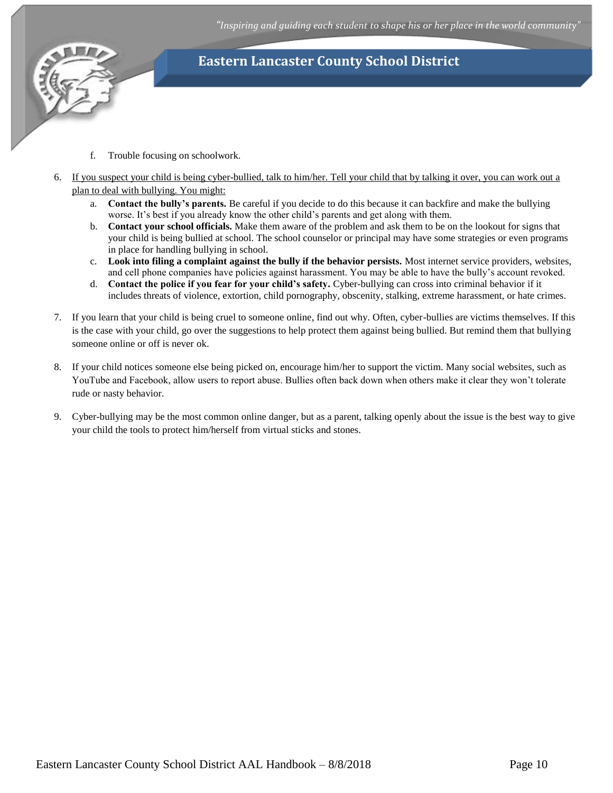

- f. Trouble focusing on schoolwork.
- 6. If you suspect your child is being cyber-bullied, talk to him/her. Tell your child that by talking it over, you can work out a plan to deal with bullying. You might:
	- a. **Contact the bully's parents.** Be careful if you decide to do this because it can backfire and make the bullying worse. It's best if you already know the other child's parents and get along with them.
	- b. **Contact your school officials.** Make them aware of the problem and ask them to be on the lookout for signs that your child is being bullied at school. The school counselor or principal may have some strategies or even programs in place for handling bullying in school.
	- c. **Look into filing a complaint against the bully if the behavior persists.** Most internet service providers, websites, and cell phone companies have policies against harassment. You may be able to have the bully's account revoked.
	- d. **Contact the police if you fear for your child's safety.** Cyber-bullying can cross into criminal behavior if it includes threats of violence, extortion, child pornography, obscenity, stalking, extreme harassment, or hate crimes.
- 7. If you learn that your child is being cruel to someone online, find out why. Often, cyber-bullies are victims themselves. If this is the case with your child, go over the suggestions to help protect them against being bullied. But remind them that bullying someone online or off is never ok.
- 8. If your child notices someone else being picked on, encourage him/her to support the victim. Many social websites, such as YouTube and Facebook, allow users to report abuse. Bullies often back down when others make it clear they won't tolerate rude or nasty behavior.
- 9. Cyber-bullying may be the most common online danger, but as a parent, talking openly about the issue is the best way to give your child the tools to protect him/herself from virtual sticks and stones.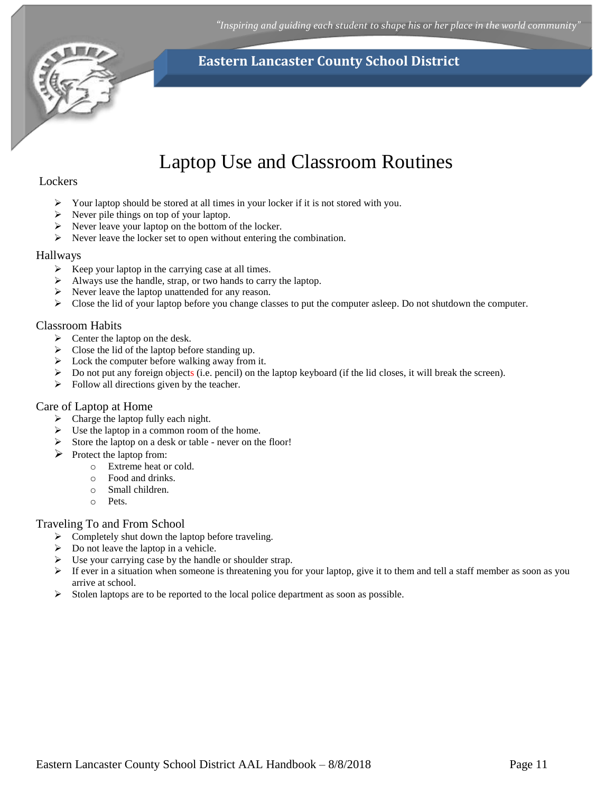*"Inspiring and guiding each student to shape his or her place in the world community"*



# **Eastern Lancaster County School District**

# Laptop Use and Classroom Routines

## <span id="page-10-0"></span>**Lockers**

- $\triangleright$  Your laptop should be stored at all times in your locker if it is not stored with you.
- $\triangleright$  Never pile things on top of your laptop.
- $\triangleright$  Never leave your laptop on the bottom of the locker.
- $\triangleright$  Never leave the locker set to open without entering the combination.

## Hallways

- $\triangleright$  Keep your laptop in the carrying case at all times.
- Always use the handle, strap, or two hands to carry the laptop.
- $\triangleright$  Never leave the laptop unattended for any reason.
- $\triangleright$  Close the lid of your laptop before you change classes to put the computer asleep. Do not shutdown the computer.

## Classroom Habits

- $\triangleright$  Center the laptop on the desk.
- $\triangleright$  Close the lid of the laptop before standing up.
- $\triangleright$  Lock the computer before walking away from it.
- $\triangleright$  Do not put any foreign objects (i.e. pencil) on the laptop keyboard (if the lid closes, it will break the screen).
- $\triangleright$  Follow all directions given by the teacher.

### Care of Laptop at Home

- $\triangleright$  Charge the laptop fully each night.
- $\triangleright$  Use the laptop in a common room of the home.
- Store the laptop on a desk or table never on the floor!
- $\triangleright$  Protect the laptop from:
	- o Extreme heat or cold.
	- o Food and drinks.
	- o Small children.
	- o Pets.

## Traveling To and From School

- $\triangleright$  Completely shut down the laptop before traveling.
- $\triangleright$  Do not leave the laptop in a vehicle.
- $\triangleright$  Use your carrying case by the handle or shoulder strap.
- $\triangleright$  If ever in a situation when someone is threatening you for your laptop, give it to them and tell a staff member as soon as you arrive at school.
- $\triangleright$  Stolen laptops are to be reported to the local police department as soon as possible.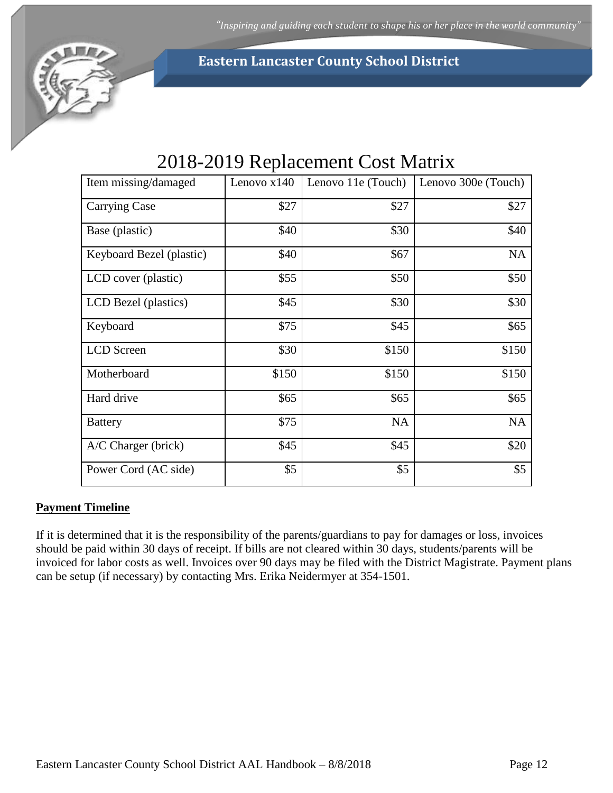

# 2018-2019 Replacement Cost Matrix

<span id="page-11-0"></span>

| Item missing/damaged     | Lenovo $x140$ | Lenovo 11e (Touch) | Lenovo 300e (Touch) |
|--------------------------|---------------|--------------------|---------------------|
| <b>Carrying Case</b>     | \$27          | \$27               | \$27                |
| Base (plastic)           | \$40          | \$30               | \$40                |
| Keyboard Bezel (plastic) | \$40          | \$67               | NA                  |
| LCD cover (plastic)      | \$55          | \$50               | \$50                |
| LCD Bezel (plastics)     | \$45          | \$30               | \$30                |
| Keyboard                 | \$75          | \$45               | \$65                |
| LCD Screen               | \$30          | \$150              | \$150               |
| Motherboard              | \$150         | \$150              | \$150               |
| Hard drive               | \$65          | \$65               | \$65                |
| <b>Battery</b>           | \$75          | <b>NA</b>          | NA                  |
| A/C Charger (brick)      | \$45          | \$45               | \$20                |
| Power Cord (AC side)     | \$5           | \$5                | \$5                 |

## **Payment Timeline**

If it is determined that it is the responsibility of the parents/guardians to pay for damages or loss, invoices should be paid within 30 days of receipt. If bills are not cleared within 30 days, students/parents will be invoiced for labor costs as well. Invoices over 90 days may be filed with the District Magistrate. Payment plans can be setup (if necessary) by contacting Mrs. Erika Neidermyer at 354-1501.